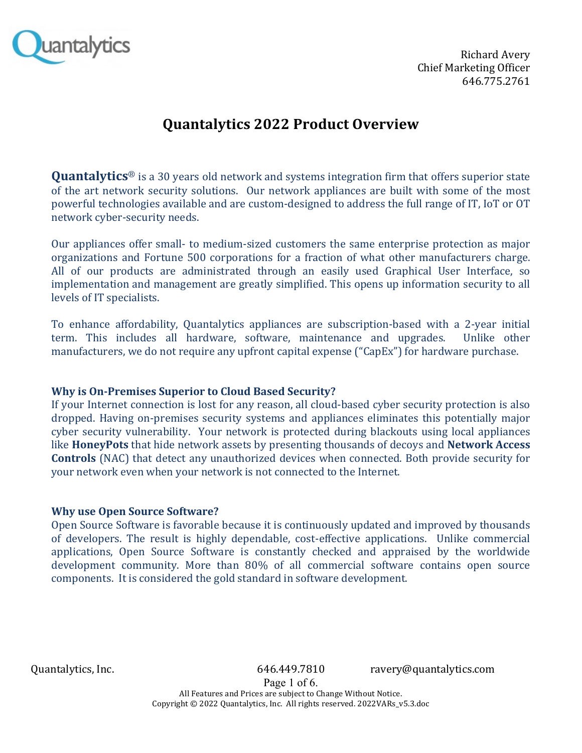

**Richard Avery** Chief Marketing Officer 646.775.2761

# **Quantalytics 2022 Product Overview**

**Quantalytics**® is a 30 years old network and systems integration firm that offers superior state of the art network security solutions. Our network appliances are built with some of the most powerful technologies available and are custom-designed to address the full range of IT, IoT or OT network cyber-security needs.

Our appliances offer small- to medium-sized customers the same enterprise protection as major organizations and Fortune 500 corporations for a fraction of what other manufacturers charge. All of our products are administrated through an easily used Graphical User Interface, so implementation and management are greatly simplified. This opens up information security to all levels of IT specialists.

To enhance affordability, Quantalytics appliances are subscription-based with a 2-year initial term. This includes all hardware, software, maintenance and upgrades. Unlike other manufacturers, we do not require any upfront capital expense ("CapEx") for hardware purchase.

# **Why is On-Premises Superior to Cloud Based Security?**

If your Internet connection is lost for any reason, all cloud-based cyber security protection is also dropped. Having on-premises security systems and appliances eliminates this potentially major cyber security vulnerability. Your network is protected during blackouts using local appliances like **HoneyPots** that hide network assets by presenting thousands of decoys and **Network Access Controls** (NAC) that detect any unauthorized devices when connected. Both provide security for your network even when your network is not connected to the Internet.

# **Why use Open Source Software?**

Open Source Software is favorable because it is continuously updated and improved by thousands of developers. The result is highly dependable, cost-effective applications. Unlike commercial applications, Open Source Software is constantly checked and appraised by the worldwide development community. More than 80% of all commercial software contains open source components. It is considered the gold standard in software development.

Quantalytics, Inc. 646.449.7810 ravery@quantalytics.com

Page 1 of 6. All Features and Prices are subject to Change Without Notice. Copyright © 2022 Quantalytics, Inc. All rights reserved. 2022VARs\_v5.3.doc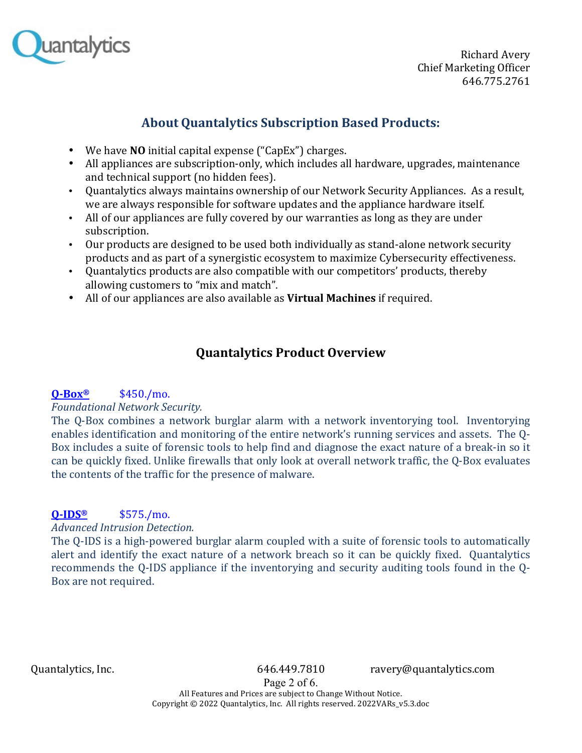

# **About Quantalytics Subscription Based Products:**

- We have **NO** initial capital expense ("CapEx") charges.
- All appliances are subscription-only, which includes all hardware, upgrades, maintenance and technical support (no hidden fees).
- Quantalytics always maintains ownership of our Network Security Appliances. As a result, we are always responsible for software updates and the appliance hardware itself.
- All of our appliances are fully covered by our warranties as long as they are under subscription.
- Our products are designed to be used both individually as stand-alone network security products and as part of a synergistic ecosystem to maximize Cybersecurity effectiveness.
- Quantalytics products are also compatible with our competitors' products, thereby allowing customers to "mix and match".
- All of our appliances are also available as **Virtual Machines** if required.

# **Quantalytics Product Overview**

# **Q-Box®** \$450./mo.

# *Foundational Network Security.*

The O-Box combines a network burglar alarm with a network inventorying tool. Inventorying enables identification and monitoring of the entire network's running services and assets. The Q-Box includes a suite of forensic tools to help find and diagnose the exact nature of a break-in so it can be quickly fixed. Unlike firewalls that only look at overall network traffic, the O-Box evaluates the contents of the traffic for the presence of malware.

# **Q-IDS®** \$575./mo.

*Advanced Intrusion Detection.*

The Q-IDS is a high-powered burglar alarm coupled with a suite of forensic tools to automatically alert and identify the exact nature of a network breach so it can be quickly fixed. Quantalytics recommends the Q-IDS appliance if the inventorying and security auditing tools found in the Q-Box are not required.

Quantalytics, Inc. 646.449.7810 ravery@quantalytics.com

Page 2 of 6. All Features and Prices are subject to Change Without Notice. Copyright © 2022 Quantalytics, Inc. All rights reserved. 2022VARs\_v5.3.doc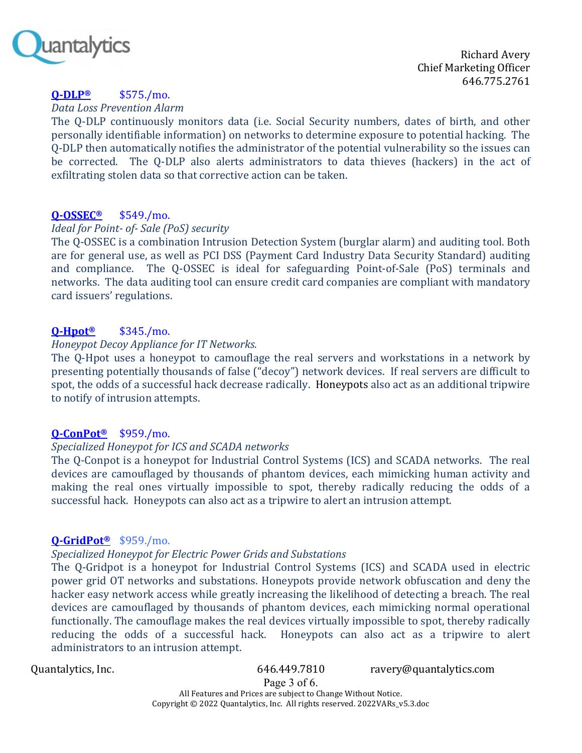

**Richard Avery** Chief Marketing Officer 646.775.2761

# **Q-DLP®** \$575./mo.

*Data Loss Prevention Alarm*

The Q-DLP continuously monitors data (i.e. Social Security numbers, dates of birth, and other personally identifiable information) on networks to determine exposure to potential hacking. The O-DLP then automatically notifies the administrator of the potential vulnerability so the issues can be corrected. The Q-DLP also alerts administrators to data thieves (hackers) in the act of exfiltrating stolen data so that corrective action can be taken.

# **Q-OSSEC®** \$549./mo.

#### *Ideal for Point- of-* Sale (PoS) security

The O-OSSEC is a combination Intrusion Detection System (burglar alarm) and auditing tool. Both are for general use, as well as PCI DSS (Payment Card Industry Data Security Standard) auditing and compliance. The Q-OSSEC is ideal for safeguarding Point-of-Sale (PoS) terminals and networks. The data auditing tool can ensure credit card companies are compliant with mandatory card issuers' regulations.

# **Q-Hpot®** \$345./mo.

#### *Honeypot Decoy Appliance for IT Networks.*

The Q-Hpot uses a honeypot to camouflage the real servers and workstations in a network by presenting potentially thousands of false ("decoy") network devices. If real servers are difficult to spot, the odds of a successful hack decrease radically. Honeypots also act as an additional tripwire to notify of intrusion attempts.

# **Q-ConPot®** \$959./mo.

#### *Specialized Honeypot for ICS and SCADA networks*

The Q-Conpot is a honeypot for Industrial Control Systems (ICS) and SCADA networks. The real devices are camouflaged by thousands of phantom devices, each mimicking human activity and making the real ones virtually impossible to spot, thereby radically reducing the odds of a successful hack. Honeypots can also act as a tripwire to alert an intrusion attempt.

#### **Q-GridPot®** \$959./mo.

#### *Specialized Honeypot for Electric Power Grids and Substations*

The Q-Gridpot is a honeypot for Industrial Control Systems (ICS) and SCADA used in electric power grid OT networks and substations. Honeypots provide network obfuscation and deny the hacker easy network access while greatly increasing the likelihood of detecting a breach. The real devices are camouflaged by thousands of phantom devices, each mimicking normal operational functionally. The camouflage makes the real devices virtually impossible to spot, thereby radically reducing the odds of a successful hack. Honeypots can also act as a tripwire to alert administrators to an intrusion attempt.

Quantalytics, Inc. 646.449.7810 ravery@quantalytics.com

Page 3 of 6. All Features and Prices are subject to Change Without Notice. Copyright © 2022 Quantalytics, Inc. All rights reserved. 2022VARs\_v5.3.doc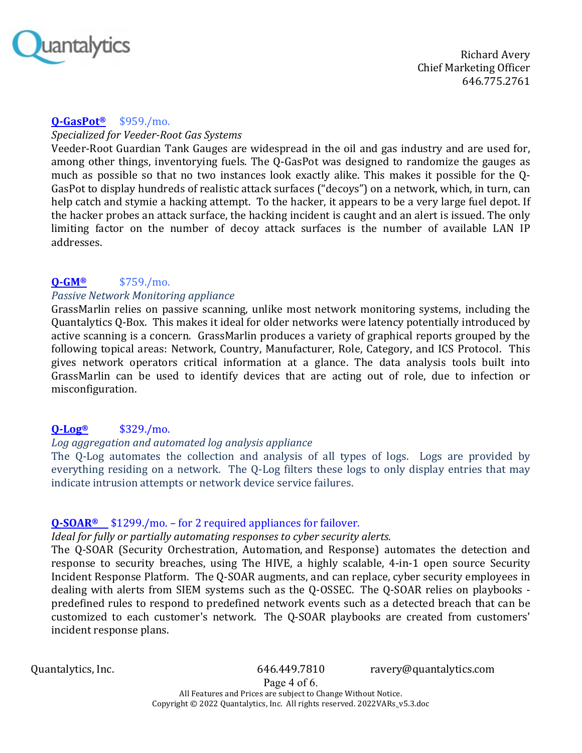

## **Q-GasPot®** \$959./mo.

#### *Specialized for Veeder-Root Gas Systems*

Veeder-Root Guardian Tank Gauges are widespread in the oil and gas industry and are used for, among other things, inventorying fuels. The Q-GasPot was designed to randomize the gauges as much as possible so that no two instances look exactly alike. This makes it possible for the Q-GasPot to display hundreds of realistic attack surfaces ("decoys") on a network, which, in turn, can help catch and stymie a hacking attempt. To the hacker, it appears to be a very large fuel depot. If the hacker probes an attack surface, the hacking incident is caught and an alert is issued. The only limiting factor on the number of decoy attack surfaces is the number of available LAN IP addresses.

# **Q-GM®** \$759./mo.

## *Passive Network Monitoring appliance*

GrassMarlin relies on passive scanning, unlike most network monitoring systems, including the Quantalytics Q-Box. This makes it ideal for older networks were latency potentially introduced by active scanning is a concern. GrassMarlin produces a variety of graphical reports grouped by the following topical areas: Network, Country, Manufacturer, Role, Category, and ICS Protocol. This gives network operators critical information at a glance. The data analysis tools built into GrassMarlin can be used to identify devices that are acting out of role, due to infection or misconfiguration.

# **Q-Log®** \$329./mo.

# Log aggregation and automated *log analysis appliance*

The Q-Log automates the collection and analysis of all types of logs. Logs are provided by everything residing on a network. The Q-Log filters these logs to only display entries that may indicate intrusion attempts or network device service failures.

# **Q-SOAR®** \$1299./mo. – for 2 required appliances for failover.

# *Ideal for fully or partially automating responses to cyber security alerts.*

The O-SOAR (Security Orchestration, Automation, and Response) automates the detection and response to security breaches, using The HIVE, a highly scalable, 4-in-1 open source Security Incident Response Platform. The O-SOAR augments, and can replace, cyber security employees in dealing with alerts from SIEM systems such as the Q-OSSEC. The Q-SOAR relies on playbooks predefined rules to respond to predefined network events such as a detected breach that can be customized to each customer's network. The Q-SOAR playbooks are created from customers' incident response plans.

Quantalytics, Inc. 646.449.7810 ravery@quantalytics.com

Page 4 of 6. All Features and Prices are subject to Change Without Notice. Copyright © 2022 Quantalytics, Inc. All rights reserved. 2022VARs\_v5.3.doc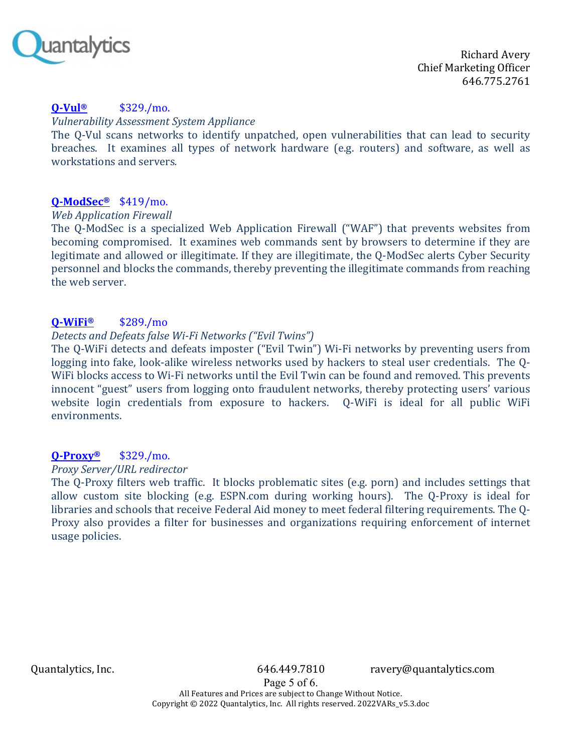

#### **Q-Vul®** \$329./mo.

#### *Vulnerability Assessment System Appliance*

The Q-Vul scans networks to identify unpatched, open vulnerabilities that can lead to security breaches. It examines all types of network hardware (e.g. routers) and software, as well as workstations and servers.

#### **Q-ModSec®** \$419/mo.

#### *Web Application Firewall*

The Q-ModSec is a specialized Web Application Firewall ("WAF") that prevents websites from becoming compromised. It examines web commands sent by browsers to determine if they are legitimate and allowed or illegitimate. If they are illegitimate, the O-ModSec alerts Cyber Security personnel and blocks the commands, thereby preventing the illegitimate commands from reaching the web server.

## **Q-WiFi®** \$289./mo

#### *Detects and Defeats false Wi-Fi Networks ("Evil Twins")*

The Q-WiFi detects and defeats imposter ("Evil Twin") Wi-Fi networks by preventing users from logging into fake, look-alike wireless networks used by hackers to steal user credentials. The 0-WiFi blocks access to Wi-Fi networks until the Evil Twin can be found and removed. This prevents innocent "guest" users from logging onto fraudulent networks, thereby protecting users' various website login credentials from exposure to hackers. Q-WiFi is ideal for all public WiFi environments. 

#### **Q-Proxy®** \$329./mo.

#### *Proxy Server/URL redirector*

The Q-Proxy filters web traffic. It blocks problematic sites (e.g. porn) and includes settings that allow custom site blocking  $(e.g.$  ESPN.com during working hours). The Q-Proxy is ideal for libraries and schools that receive Federal Aid money to meet federal filtering requirements. The 0-Proxy also provides a filter for businesses and organizations requiring enforcement of internet usage policies.

Quantalytics, Inc. 646.449.7810 ravery@quantalytics.com

Page 5 of 6. All Features and Prices are subject to Change Without Notice. Copyright © 2022 Quantalytics, Inc. All rights reserved. 2022VARs\_v5.3.doc